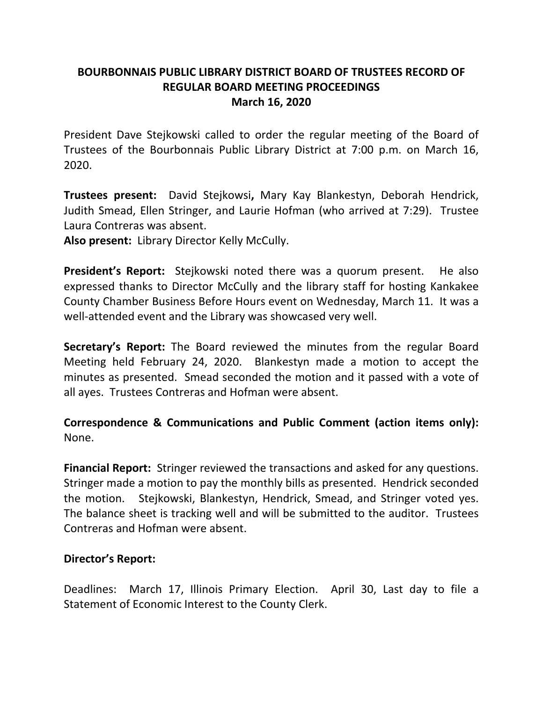# **BOURBONNAIS PUBLIC LIBRARY DISTRICT BOARD OF TRUSTEES RECORD OF REGULAR BOARD MEETING PROCEEDINGS March 16, 2020**

President Dave Stejkowski called to order the regular meeting of the Board of Trustees of the Bourbonnais Public Library District at 7:00 p.m. on March 16, 2020.

**Trustees present:** David Stejkowsi**,** Mary Kay Blankestyn, Deborah Hendrick, Judith Smead, Ellen Stringer, and Laurie Hofman (who arrived at 7:29). Trustee Laura Contreras was absent.

**Also present:** Library Director Kelly McCully.

**President's Report:** Stejkowski noted there was a quorum present. He also expressed thanks to Director McCully and the library staff for hosting Kankakee County Chamber Business Before Hours event on Wednesday, March 11. It was a well-attended event and the Library was showcased very well.

**Secretary's Report:** The Board reviewed the minutes from the regular Board Meeting held February 24, 2020. Blankestyn made a motion to accept the minutes as presented. Smead seconded the motion and it passed with a vote of all ayes. Trustees Contreras and Hofman were absent.

# **Correspondence & Communications and Public Comment (action items only):**  None.

**Financial Report:** Stringer reviewed the transactions and asked for any questions. Stringer made a motion to pay the monthly bills as presented. Hendrick seconded the motion. Stejkowski, Blankestyn, Hendrick, Smead, and Stringer voted yes. The balance sheet is tracking well and will be submitted to the auditor. Trustees Contreras and Hofman were absent.

# **Director's Report:**

Deadlines: March 17, Illinois Primary Election. April 30, Last day to file a Statement of Economic Interest to the County Clerk.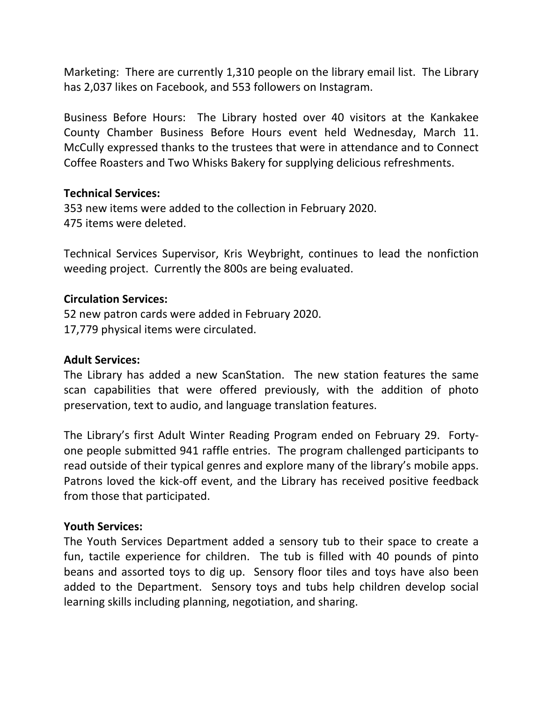Marketing: There are currently 1,310 people on the library email list. The Library has 2,037 likes on Facebook, and 553 followers on Instagram.

Business Before Hours: The Library hosted over 40 visitors at the Kankakee County Chamber Business Before Hours event held Wednesday, March 11. McCully expressed thanks to the trustees that were in attendance and to Connect Coffee Roasters and Two Whisks Bakery for supplying delicious refreshments.

### **Technical Services:**

353 new items were added to the collection in February 2020. 475 items were deleted.

Technical Services Supervisor, Kris Weybright, continues to lead the nonfiction weeding project. Currently the 800s are being evaluated.

## **Circulation Services:**

52 new patron cards were added in February 2020. 17,779 physical items were circulated.

### **Adult Services:**

The Library has added a new ScanStation. The new station features the same scan capabilities that were offered previously, with the addition of photo preservation, text to audio, and language translation features.

The Library's first Adult Winter Reading Program ended on February 29. Fortyone people submitted 941 raffle entries. The program challenged participants to read outside of their typical genres and explore many of the library's mobile apps. Patrons loved the kick-off event, and the Library has received positive feedback from those that participated.

### **Youth Services:**

The Youth Services Department added a sensory tub to their space to create a fun, tactile experience for children. The tub is filled with 40 pounds of pinto beans and assorted toys to dig up. Sensory floor tiles and toys have also been added to the Department. Sensory toys and tubs help children develop social learning skills including planning, negotiation, and sharing.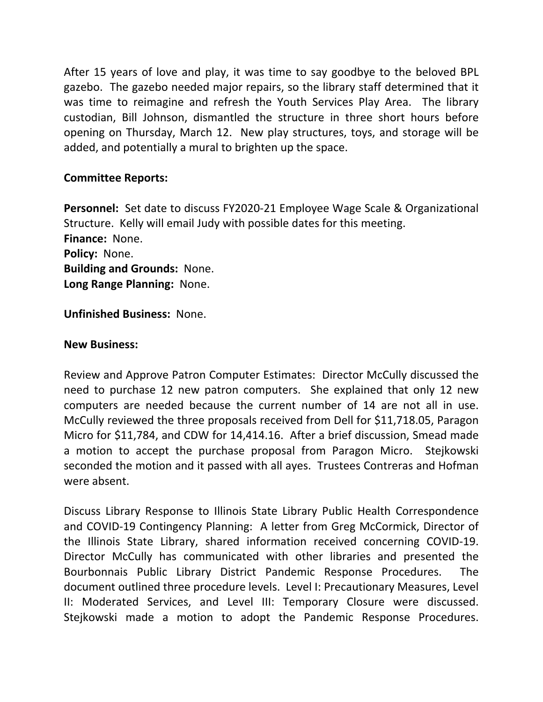After 15 years of love and play, it was time to say goodbye to the beloved BPL gazebo. The gazebo needed major repairs, so the library staff determined that it was time to reimagine and refresh the Youth Services Play Area. The library custodian, Bill Johnson, dismantled the structure in three short hours before opening on Thursday, March 12. New play structures, toys, and storage will be added, and potentially a mural to brighten up the space.

## **Committee Reports:**

**Personnel:** Set date to discuss FY2020-21 Employee Wage Scale & Organizational Structure. Kelly will email Judy with possible dates for this meeting. **Finance:** None. **Policy:** None. **Building and Grounds:** None. **Long Range Planning:** None.

**Unfinished Business:** None.

**New Business:**<br>Review and Approve Patron Computer Estimates: Director McCully discussed the need to purchase 12 new patron computers. She explained that only 12 new computers are needed because the current number of 14 are not all in use. McCully reviewed the three proposals received from Dell for \$11,718.05, Paragon Micro for \$11,784, and CDW for 14,414.16. After a brief discussion, Smead made a motion to accept the purchase proposal from Paragon Micro. Stejkowski seconded the motion and it passed with all ayes. Trustees Contreras and Hofman were absent.

Discuss Library Response to Illinois State Library Public Health Correspondence and COVID-19 Contingency Planning: A letter from Greg McCormick, Director of the Illinois State Library, shared information received concerning COVID-19. Director McCully has communicated with other libraries and presented the Bourbonnais Public Library District Pandemic Response Procedures. The document outlined three procedure levels. Level I: Precautionary Measures, Level II: Moderated Services, and Level III: Temporary Closure were discussed. Stejkowski made a motion to adopt the Pandemic Response Procedures.